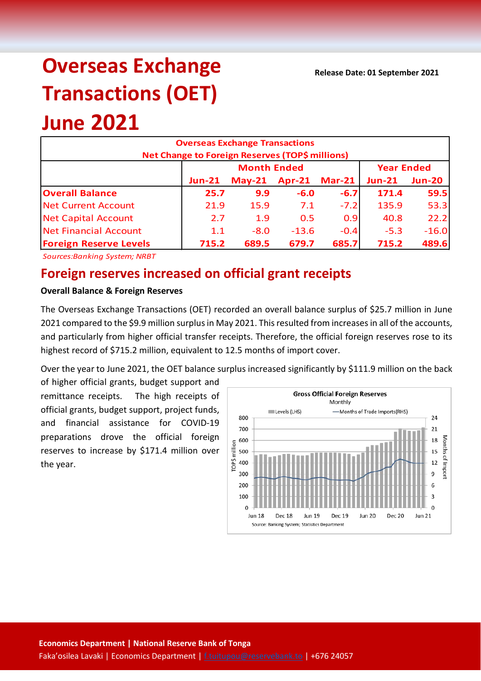**Release Date: 01 September 2021**

# **Overseas Exchange Transactions (OET) June 2021**

### **Overseas Exchange Transactions Net Change to Foreign Reserves (TOP\$ millions) Jun-21 May-21 Apr-21 Mar-21 Jun-21 Jun-20 Overall Balance 25.7 9.9 -6.0 -6.7 171.4 59.5** Net Current Account 21.9 15.9 7.1 -7.2 135.9 53.3 Net Capital Account 2.7 1.9 0.5 0.9 40.8 22.2 Net Financial Account 1.1 -8.0 -13.6 -0.4 -5.3 -16.0 **Foreign Reserve Levels 715.2 689.5 679.7 685.7 715.2 489.6 Month Ended Year Ended**

*Sources:Banking System; NRBT*

## **Foreign reserves increased on official grant receipts**

#### **Overall Balance & Foreign Reserves**

The Overseas Exchange Transactions (OET) recorded an overall balance surplus of \$25.7 million in June 2021 compared to the \$9.9 million surplus in May 2021. This resulted from increases in all of the accounts, and particularly from higher official transfer receipts. Therefore, the official foreign reserves rose to its highest record of \$715.2 million, equivalent to 12.5 months of import cover.

Over the year to June 2021, the OET balance surplus increased significantly by \$111.9 million on the back

of higher official grants, budget support and remittance receipts. The high receipts of official grants, budget support, project funds, and financial assistance for COVID-19 preparations drove the official foreign reserves to increase by \$171.4 million over the year.

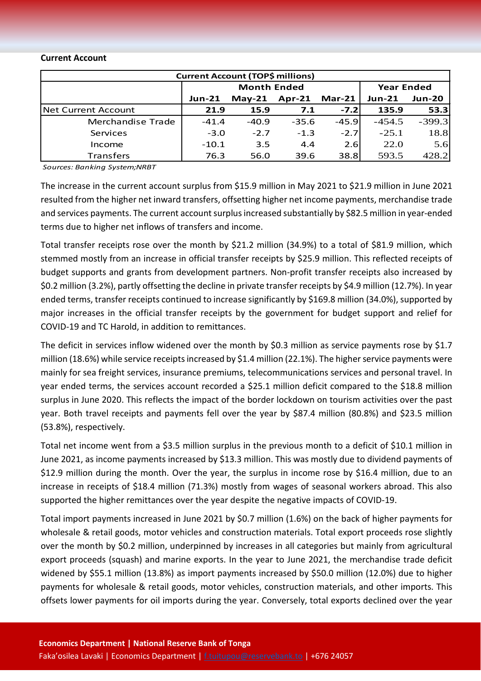#### **Current Account**

| <b>Current Account (TOP\$ millions)</b> |               |                    |                   |          |          |               |  |  |
|-----------------------------------------|---------------|--------------------|-------------------|----------|----------|---------------|--|--|
|                                         |               | <b>Month Ended</b> | <b>Year Ended</b> |          |          |               |  |  |
|                                         | <b>Jun-21</b> | $May-21$           | $Apr-21$          | $Mar-21$ | $Jun-21$ | <b>Jun-20</b> |  |  |
| Net Current Account                     | 21.9          | 15.9               | 7.1               | $-7.21$  | 135.9    | 53.3          |  |  |
| Merchandise Trade                       | $-41.4$       | $-40.9$            | $-35.6$           | $-45.9$  | $-454.5$ | $-399.3$      |  |  |
| Services                                | $-3.0$        | $-2.7$             | $-1.3$            | $-2.7$   | $-25.1$  | 18.8          |  |  |
| Income                                  | $-10.1$       | 3.5                | 4.4               | 2.6      | 22.0     | 5.6           |  |  |
| <b>Transfers</b>                        | 76.3          | 56.0               | 39.6              | 38.8     | 593.5    | 428.2         |  |  |

*Sources: Banking System;NRBT*

The increase in the current account surplus from \$15.9 million in May 2021 to \$21.9 million in June 2021 resulted from the higher net inward transfers, offsetting higher net income payments, merchandise trade and services payments. The current account surplusincreased substantially by \$82.5 million in year-ended terms due to higher net inflows of transfers and income.

Total transfer receipts rose over the month by \$21.2 million (34.9%) to a total of \$81.9 million, which stemmed mostly from an increase in official transfer receipts by \$25.9 million. This reflected receipts of budget supports and grants from development partners. Non-profit transfer receipts also increased by \$0.2 million (3.2%), partly offsetting the decline in private transfer receipts by \$4.9 million (12.7%). In year ended terms, transfer receipts continued to increase significantly by \$169.8 million (34.0%), supported by major increases in the official transfer receipts by the government for budget support and relief for COVID-19 and TC Harold, in addition to remittances.

The deficit in services inflow widened over the month by \$0.3 million as service payments rose by \$1.7 million (18.6%) while service receipts increased by \$1.4 million (22.1%). The higher service payments were mainly for sea freight services, insurance premiums, telecommunications services and personal travel. In year ended terms, the services account recorded a \$25.1 million deficit compared to the \$18.8 million surplus in June 2020. This reflects the impact of the border lockdown on tourism activities over the past year. Both travel receipts and payments fell over the year by \$87.4 million (80.8%) and \$23.5 million (53.8%), respectively.

Total net income went from a \$3.5 million surplus in the previous month to a deficit of \$10.1 million in June 2021, as income payments increased by \$13.3 million. This was mostly due to dividend payments of \$12.9 million during the month. Over the year, the surplus in income rose by \$16.4 million, due to an increase in receipts of \$18.4 million (71.3%) mostly from wages of seasonal workers abroad. This also supported the higher remittances over the year despite the negative impacts of COVID-19.

Total import payments increased in June 2021 by \$0.7 million (1.6%) on the back of higher payments for wholesale & retail goods, motor vehicles and construction materials. Total export proceeds rose slightly over the month by \$0.2 million, underpinned by increases in all categories but mainly from agricultural export proceeds (squash) and marine exports. In the year to June 2021, the merchandise trade deficit widened by \$55.1 million (13.8%) as import payments increased by \$50.0 million (12.0%) due to higher payments for wholesale & retail goods, motor vehicles, construction materials, and other imports. This offsets lower payments for oil imports during the year. Conversely, total exports declined over the year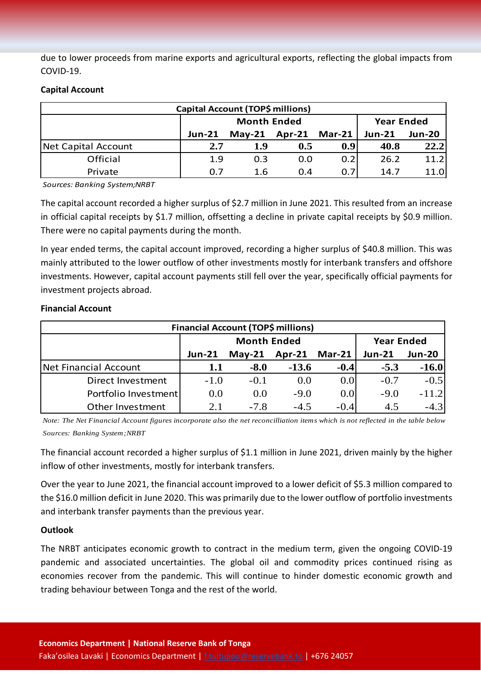due to lower proceeds from marine exports and agricultural exports, reflecting the global impacts from COVID-19.

#### **Capital Account**

| <b>Capital Account (TOP\$ millions)</b> |               |                    |                   |                  |               |               |  |  |
|-----------------------------------------|---------------|--------------------|-------------------|------------------|---------------|---------------|--|--|
|                                         |               | <b>Month Ended</b> | <b>Year Ended</b> |                  |               |               |  |  |
|                                         | <b>Jun-21</b> | $May-21$           | Apr-21 Mar-21     |                  | <b>Jun-21</b> | <b>Jun-20</b> |  |  |
| Net Capital Account                     | 2.7           | 1.9                | 0.5               | 0.9 <sub>l</sub> | 40.8          | 22.2          |  |  |
| Official                                | 1.9           | 0.3                | 0.0               | 0.2              | 26.2          | 11.2          |  |  |
| Private                                 | 0.7           | 1.6                | 0.4               | 0.7              | 14.7          | 11.0          |  |  |

*Sources: Banking System;NRBT*

The capital account recorded a higher surplus of \$2.7 million in June 2021. This resulted from an increase in official capital receipts by \$1.7 million, offsetting a decline in private capital receipts by \$0.9 million. There were no capital payments during the month.

In year ended terms, the capital account improved, recording a higher surplus of \$40.8 million. This was mainly attributed to the lower outflow of other investments mostly for interbank transfers and offshore investments. However, capital account payments still fell over the year, specifically official payments for investment projects abroad.

| <b>Financial Account (TOP\$ millions)</b> |               |                    |                   |                  |               |               |  |  |
|-------------------------------------------|---------------|--------------------|-------------------|------------------|---------------|---------------|--|--|
|                                           |               | <b>Month Ended</b> | <b>Year Ended</b> |                  |               |               |  |  |
|                                           | <b>Jun-21</b> | $May-21$           | <b>Apr-21</b>     | <b>Mar-21</b>    | <b>Jun-21</b> | <b>Jun-20</b> |  |  |
| Net Financial Account                     | 1.1           | $-8.0$             | $-13.6$           | $-0.4$           | $-5.3$        | $-16.0$       |  |  |
| <b>Direct Investment</b>                  | $-1.0$        | $-0.1$             | 0.0               | 0.0              | $-0.7$        | $-0.5$        |  |  |
| Portfolio Investment                      | 0.0           | 0.0                | $-9.0$            | 0.0 <sub>l</sub> | $-9.0$        | $-11.2$       |  |  |
| Other Investment                          | 2.1           | $-7.8$             | $-4.5$            | $-0.4$           | 4.5           | $-4.3$        |  |  |

#### **Financial Account**

*Note: The Net Financial Account figures incorporate also the net reconcilliation items which is not reflected in the table below Sources: Banking System;NRBT*

The financial account recorded a higher surplus of \$1.1 million in June 2021, driven mainly by the higher inflow of other investments, mostly for interbank transfers.

Over the year to June 2021, the financial account improved to a lower deficit of \$5.3 million compared to the \$16.0 million deficit in June 2020. This was primarily due to the lower outflow of portfolio investments and interbank transfer payments than the previous year.

#### **Outlook**

The NRBT anticipates economic growth to contract in the medium term, given the ongoing COVID-19 pandemic and associated uncertainties. The global oil and commodity prices continued rising as economies recover from the pandemic. This will continue to hinder domestic economic growth and trading behaviour between Tonga and the rest of the world.